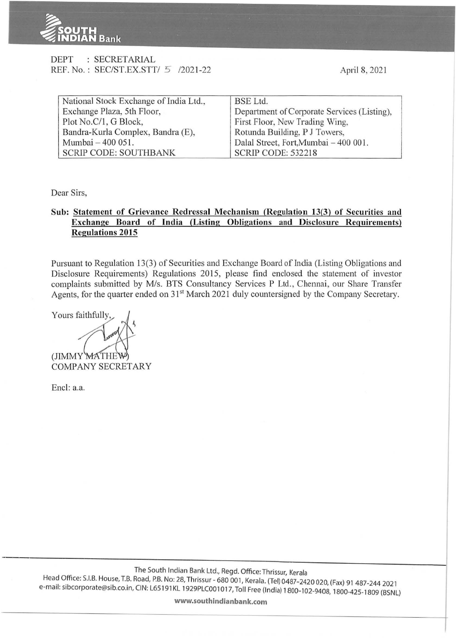

|  |  | DEPT : SECRETARIAL                  |  |
|--|--|-------------------------------------|--|
|  |  | REF. No.: SEC/ST.EX.STT/ 5 /2021-22 |  |

April 8, 2021

| National Stock Exchange of India Ltd., | BSE Ltd.                                    |  |  |  |
|----------------------------------------|---------------------------------------------|--|--|--|
| Exchange Plaza, 5th Floor,             | Department of Corporate Services (Listing), |  |  |  |
| Plot No.C/1, G Block,                  | First Floor, New Trading Wing,              |  |  |  |
| Bandra-Kurla Complex, Bandra (E),      | Rotunda Building, P J Towers,               |  |  |  |
| Mumbai – 400 051.                      | Dalal Street, Fort, Mumbai - 400 001.       |  |  |  |
| <b>SCRIP CODE: SOUTHBANK</b>           | SCRIP CODE: 532218                          |  |  |  |

Dear Sirs,

## **Sub: Statement of Grievance Redressal Mechanism (Regulation 13(3) of Securities and Exchange Board of India (Listing Obligations and Disclosure Requirements) Regulations 2015**

Pursuant to Regulation 13(3) of Securities and Exchange Board of India (Listing Obligations and Disclosure Requirements) Regulations 2015, please find enclosed the statement of investor complaints submitted by M/s. BTS Consultancy Services P Ltd., Chennai, our Share Transfer Agents, for the quarter ended on 31<sup>st</sup> March 2021 duly countersigned by the Company Secretary.

Yours faithfully  $(JIMMY)$ COMPANY SECRETARY

Encl: a.a.

**www.southindianbank.com**